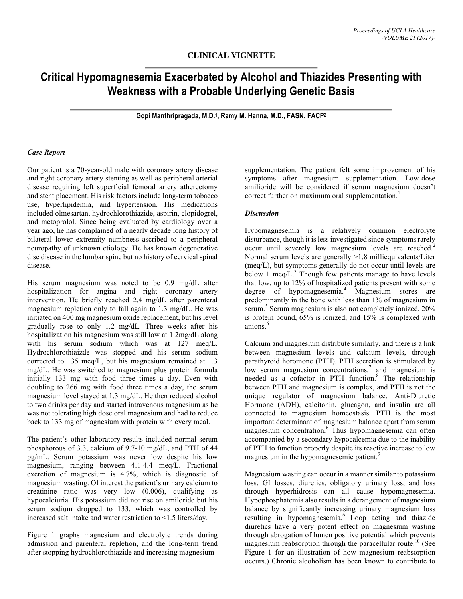## **CLINICAL VIGNETTE**

# **Critical Hypomagnesemia Exacerbated by Alcohol and Thiazides Presenting with Weakness with a Probable Underlying Genetic Basis**

**Gopi Manthripragada, M.D. 1, Ramy M. Hanna, M.D., FASN, FACP2**

#### *Case Report*

Our patient is a 70-year-old male with coronary artery disease and right coronary artery stenting as well as peripheral arterial disease requiring left superficial femoral artery atherectomy and stent placement. His risk factors include long-term tobacco use, hyperlipidemia, and hypertension. His medications included olmesartan, hydrochlorothiazide, aspirin, clopidogrel, and metoprolol. Since being evaluated by cardiology over a year ago, he has complained of a nearly decade long history of bilateral lower extremity numbness ascribed to a peripheral neuropathy of unknown etiology. He has known degenerative disc disease in the lumbar spine but no history of cervical spinal disease.

His serum magnesium was noted to be 0.9 mg/dL after hospitalization for angina and right coronary artery intervention. He briefly reached 2.4 mg/dL after parenteral magnesium repletion only to fall again to 1.3 mg/dL. He was initiated on 400 mg magnesium oxide replacement, but his level gradually rose to only 1.2 mg/dL. Three weeks after his hospitalization his magnesium was still low at 1.2mg/dL along with his serum sodium which was at 127 meq/L. Hydrochlorothiaizde was stopped and his serum sodium corrected to 135 meq/L, but his magnesium remained at 1.3 mg/dL. He was switched to magnesium plus protein formula initially 133 mg with food three times a day. Even with doubling to 266 mg with food three times a day, the serum magnesium level stayed at 1.3 mg/dL. He then reduced alcohol to two drinks per day and started intravenous magnesium as he was not tolerating high dose oral magnesium and had to reduce back to 133 mg of magnesium with protein with every meal.

The patient's other laboratory results included normal serum phosphorous of 3.3, calcium of 9.7-10 mg/dL, and PTH of 44 pg/mL. Serum potassium was never low despite his low magnesium, ranging between 4.1-4.4 meq/L. Fractional excretion of magnesium is 4.7%, which is diagnostic of magnesium wasting. Of interest the patient's urinary calcium to creatinine ratio was very low (0.006), qualifying as hypocalciuria. His potassium did not rise on amiloride but his serum sodium dropped to 133, which was controlled by increased salt intake and water restriction to <1.5 liters/day.

Figure 1 graphs magnesium and electrolyte trends during admission and parenteral repletion, and the long-term trend after stopping hydrochlorothiazide and increasing magnesium

supplementation. The patient felt some improvement of his symptoms after magnesium supplementation. Low-dose amilioride will be considered if serum magnesium doesn't correct further on maximum oral supplementation.<sup>1</sup>

#### *Discussion*

Hypomagnesemia is a relatively common electrolyte disturbance, though it is less investigated since symptoms rarely occur until severely low magnesium levels are reached.<sup>2</sup> Normal serum levels are generally >1.8 milliequivalents/Liter (meq/L), but symptoms generally do not occur until levels are below 1 meq/ $L^3$ . Though few patients manage to have levels that low, up to 12% of hospitalized patients present with some degree of hypomagnesemia. <sup>4</sup> Magnesium stores are predominantly in the bone with less than 1% of magnesium in serum.<sup>5</sup> Serum magnesium is also not completely ionized, 20% is protein bound, 65% is ionized, and 15% is complexed with anions. 6

Calcium and magnesium distribute similarly, and there is a link between magnesium levels and calcium levels, through parathyroid horomone (PTH). PTH secretion is stimulated by low serum magnesium concentrations, $\frac{7}{1}$  and magnesium is needed as a cofactor in PTH function. <sup>8</sup> The relationship between PTH and magnesium is complex, and PTH is not the unique regulator of magnesium balance. Anti-Diuretic Hormone (ADH), calcitonin, glucagon, and insulin are all connected to magnesium homeostasis. PTH is the most important determinant of magnesium balance apart from serum magnesium concentration. <sup>6</sup> Thus hypomagnesemia can often accompanied by a secondary hypocalcemia due to the inability of PTH to function properly despite its reactive increase to low magnesium in the hypomagnesemic patient.<sup>9</sup>

Magnesium wasting can occur in a manner similar to potassium loss. GI losses, diuretics, obligatory urinary loss, and loss through hyperhidrosis can all cause hypomagnesemia. Hypophosphatemia also results in a derangement of magnesium balance by significantly increasing urinary magnesium loss resulting in hypomagnesemia. <sup>6</sup> Loop acting and thiazide diuretics have a very potent effect on magnesium wasting through abrogation of lumen positive potential which prevents magnesium reabsorption through the paracellular route. <sup>10</sup> (See Figure 1 for an illustration of how magnesium reabsorption occurs.) Chronic alcoholism has been known to contribute to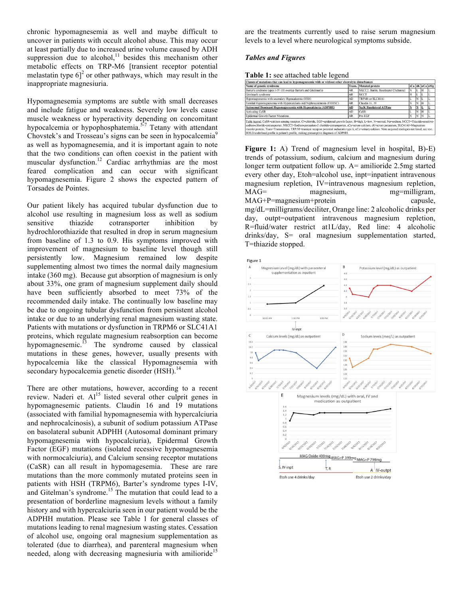chronic hypomagnesemia as well and maybe difficult to uncover in patients with occult alcohol abuse. This may occur at least partially due to increased urine volume caused by ADH suppression due to alcohol,<sup>11</sup> besides this mechanism other metabolic effects on TRP-M6 [transient receptor potential melastatin type  $6$ <sup>2</sup> or other pathways, which may result in the inappropriate magnesiuria.

Hypomagnesemia symptoms are subtle with small decreases and include fatigue and weakness. Severely low levels cause muscle weakness or hyperactivity depending on concomitant hypocalcemia or hypophosphatemia.<sup>5-7</sup> Tetany with attendant Chovstek's and Trosseau's signs can be seen in hypocalcemia<sup>9</sup> as well as hypomagnesemia, and it is important again to note that the two conditions can often coexist in the patient with muscular dysfunction.<sup>12</sup> Cardiac arrhythmias are the most feared complication and can occur with significant hypomagnesemia. Figure 2 shows the expected pattern of Torsades de Pointes.

Our patient likely has acquired tubular dysfunction due to alcohol use resulting in magnesium loss as well as sodium sensitive thiazide cotransporter inhibition by hydrochlorothiazide that resulted in drop in serum magnesium from baseline of 1.3 to 0.9. His symptoms improved with improvement of magnesium to baseline level though still persistently low. Magnesium remained low despite supplementing almost two times the normal daily magnesium intake (360 mg). Because gut absorption of magnesium is only about 33%, one gram of magnesium supplement daily should have been sufficiently absorbed to meet 73% of the recommended daily intake. The continually low baseline may be due to ongoing tubular dysfunction from persistent alcohol intake or due to an underlying renal magnesium wasting state. Patients with mutations or dysfunction in TRPM6 or SLC41A1 proteins, which regulate magnesium reabsorption can become hypomagnesemic.<sup>13</sup> The syndrome caused by classical mutations in these genes, however, usually presents with hypocalcemia like the classical Hypomagnesemia with secondary hypocalcemia genetic disorder (HSH).<sup>14</sup>

There are other mutations, however, according to a recent review. Naderi et. Al<sup>15</sup> listed several other culprit genes in hypomagnesemic patients. Claudin 16 and 19 mutations (associated with familial hypomagnesemia with hypercalciuria and nephrocalcinosis), a subunit of sodium potassium ATPase on basolateral subunit ADPHH (Autosomal dominant primary hypomagnesemia with hypocalciuria), Epidermal Growth Factor (EGF) mutations (isolated recessive hypomagnesemia with normocalciuria), and Calcium sensing receptor mutations (CaSR) can all result in hypomagesemia. These are rare mutations than the more commonly mutated proteins seen in patients with HSH (TRPM6), Barter's syndrome types I-IV, and Gitelman's syndrome.<sup>15</sup> The mutation that could lead to a presentation of borderline magnesium levels without a family history and with hypercalciuria seen in our patient would be the ADPHH mutation. Please see Table 1 for general classes of mutations leading to renal magnesium wasting states. Cessation of alcohol use, ongoing oral magnesium supplementation as tolerated (due to diarrhea), and parenteral magnesium when needed, along with decreasing magnesiuria with amilioride<sup>15</sup>

are the treatments currently used to raise serum magnesium levels to a level where neurological symptoms subside.

### *Tables and Figures*

**Table 1:** see attached table legend

| Classes of mutations that can lead to hypomagnesemia with or without other electrolyte disturbances                                                                                                                                                                                                                                                                                                                                                                                                                                                        |        |                                       |    |     |                |    |
|------------------------------------------------------------------------------------------------------------------------------------------------------------------------------------------------------------------------------------------------------------------------------------------------------------------------------------------------------------------------------------------------------------------------------------------------------------------------------------------------------------------------------------------------------------|--------|---------------------------------------|----|-----|----------------|----|
| Name of genetic syndrome                                                                                                                                                                                                                                                                                                                                                                                                                                                                                                                                   | Trans. | Mutated protein                       |    |     | sCa sK uCa sMg |    |
| Barter's syndrome types I-IV (III overlap Barter's and Gitelman's)                                                                                                                                                                                                                                                                                                                                                                                                                                                                                         | AR     | NKCC2, Bartin, Basolateral Cl channel | lΝ | IL. | Ιн             |    |
| Gitelman's syndrome                                                                                                                                                                                                                                                                                                                                                                                                                                                                                                                                        | AR     | <b>NCCT</b>                           | lн | IL. |                | Ш. |
| Hypomagnesemia with secondary Hypocalcemia (HSH)                                                                                                                                                                                                                                                                                                                                                                                                                                                                                                           | AD     | TRPM6 or SLC41A1                      |    | İΝ  |                | ı. |
| Familial Hypomagnesemia with Hypercalciuria and Nephrocalcinosis (FHHNC)                                                                                                                                                                                                                                                                                                                                                                                                                                                                                   | AR     | Claudin 16, 19                        |    | İΝ  | Ιн             |    |
| Autosomal Dominant Hypomagnesemia with Hypocalciuria (ADPHH)                                                                                                                                                                                                                                                                                                                                                                                                                                                                                               | AD     | <b>Na/K Basolateral ATPase</b>        |    | N   |                | L  |
| <b>Activating CaSR</b>                                                                                                                                                                                                                                                                                                                                                                                                                                                                                                                                     | AD     | CaSR                                  |    | N   | ін             |    |
| Epidermal Growth Factor Mutations                                                                                                                                                                                                                                                                                                                                                                                                                                                                                                                          | AR     | Pro EGF                               |    | N   | IN             |    |
| Table legend; CaSR=calcium sensing receptor, Cl=chloride, EGF=epidermal growth factor, H=high, L=low, N=normal, Na=sodium, NCCT=Thiazide-sensitive-<br>sodium-chloride-cotransporter, NKCC2=Sodium-potassium-2 cholride-cotransporter, sCa=serum calcium, sK=serum potassium, SLC41A1=Magnesium<br>transfer protein, Trans=Transmission, TRP-M=transient receptor potential melastatin type 6, uCa=urinary calcium. Note acquired etiologies not listed, see text.<br>BOLD/underlined profile is patient's profile, making presumptive diagnsois of ADPHH. |        |                                       |    |     |                |    |

**Figure 1:** A) Trend of magnesium level in hospital, B)-E) trends of potassium, sodium, calcium and magnesium during longer term outpatient follow up. A= amilioride 2.5mg started every other day, Etoh=alcohol use, inpt=inpatient intravenous magnesium repletion, IV=intravenous magnesium repletion, MAG= magnesium, mg=milligram, MAG+P=magnesium+protein capusle, mg/dL=milligrams/deciliter, Orange line: 2 alcoholic drinks per day, outpt=outpatient intravenous magnesium repletion, R=fluid/water restrict at1L/day, Red line: 4 alcoholic drinks/day, S= oral magnesium supplementation started, T=thiazide stopped.